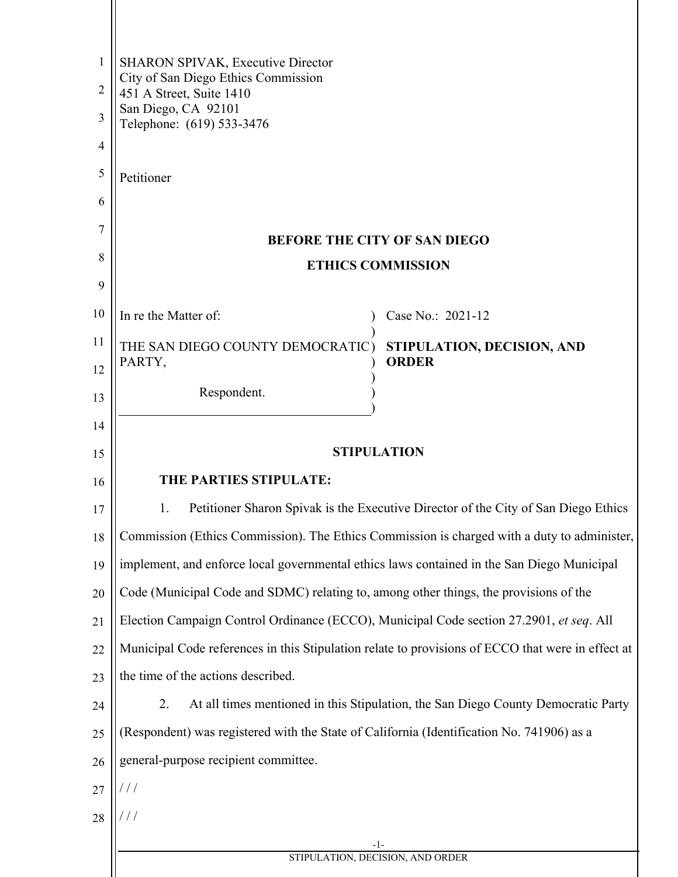| 1              | <b>SHARON SPIVAK, Executive Director</b>                                                          |                                                                                   |  |
|----------------|---------------------------------------------------------------------------------------------------|-----------------------------------------------------------------------------------|--|
| $\overline{2}$ | City of San Diego Ethics Commission<br>451 A Street, Suite 1410                                   |                                                                                   |  |
| 3              | San Diego, CA 92101<br>Telephone: (619) 533-3476                                                  |                                                                                   |  |
| $\overline{4}$ |                                                                                                   |                                                                                   |  |
| 5              | Petitioner                                                                                        |                                                                                   |  |
| 6              |                                                                                                   |                                                                                   |  |
| 7              | <b>BEFORE THE CITY OF SAN DIEGO</b>                                                               |                                                                                   |  |
| 8              | <b>ETHICS COMMISSION</b>                                                                          |                                                                                   |  |
| 9              |                                                                                                   |                                                                                   |  |
| 10             | In re the Matter of:                                                                              | Case No.: 2021-12                                                                 |  |
| 11             | THE SAN DIEGO COUNTY DEMOCRATIC)                                                                  | STIPULATION, DECISION, AND                                                        |  |
| 12             | PARTY,                                                                                            | <b>ORDER</b>                                                                      |  |
| 13             | Respondent.                                                                                       |                                                                                   |  |
| 14             |                                                                                                   |                                                                                   |  |
| 15             | <b>STIPULATION</b>                                                                                |                                                                                   |  |
| 16             | THE PARTIES STIPULATE:                                                                            |                                                                                   |  |
| 17             | Petitioner Sharon Spivak is the Executive Director of the City of San Diego Ethics<br>1.          |                                                                                   |  |
| 18             | Commission (Ethics Commission). The Ethics Commission is charged with a duty to administer,       |                                                                                   |  |
| 19             | implement, and enforce local governmental ethics laws contained in the San Diego Municipal        |                                                                                   |  |
| 20             | Code (Municipal Code and SDMC) relating to, among other things, the provisions of the             |                                                                                   |  |
| 21             | Election Campaign Control Ordinance (ECCO), Municipal Code section 27.2901, et seq. All           |                                                                                   |  |
| 22             | Municipal Code references in this Stipulation relate to provisions of ECCO that were in effect at |                                                                                   |  |
| 23             | the time of the actions described.                                                                |                                                                                   |  |
| 24             | 2.                                                                                                | At all times mentioned in this Stipulation, the San Diego County Democratic Party |  |
| 25             | (Respondent) was registered with the State of California (Identification No. 741906) as a         |                                                                                   |  |
| 26             | general-purpose recipient committee.                                                              |                                                                                   |  |
| 27             | ///                                                                                               |                                                                                   |  |
| 28             |                                                                                                   |                                                                                   |  |
|                | -1-<br>STIPULATION, DECISION, AND ORDER                                                           |                                                                                   |  |
|                |                                                                                                   |                                                                                   |  |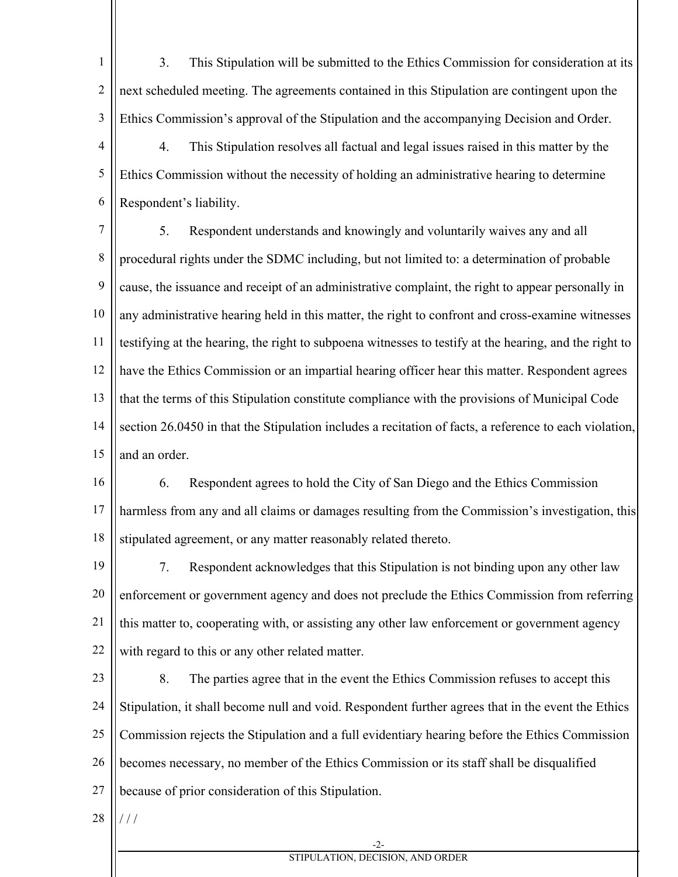1 2 3 3. This Stipulation will be submitted to the Ethics Commission for consideration at its next scheduled meeting. The agreements contained in this Stipulation are contingent upon the Ethics Commission's approval of the Stipulation and the accompanying Decision and Order.

4 5 6 4. This Stipulation resolves all factual and legal issues raised in this matter by the Ethics Commission without the necessity of holding an administrative hearing to determine Respondent's liability.

7 8 9 10 11 12 13 14 15 5. Respondent understands and knowingly and voluntarily waives any and all procedural rights under the SDMC including, but not limited to: a determination of probable cause, the issuance and receipt of an administrative complaint, the right to appear personally in any administrative hearing held in this matter, the right to confront and cross-examine witnesses testifying at the hearing, the right to subpoena witnesses to testify at the hearing, and the right to have the Ethics Commission or an impartial hearing officer hear this matter. Respondent agrees that the terms of this Stipulation constitute compliance with the provisions of Municipal Code section 26.0450 in that the Stipulation includes a recitation of facts, a reference to each violation, and an order.

16 17 18 6. Respondent agrees to hold the City of San Diego and the Ethics Commission harmless from any and all claims or damages resulting from the Commission's investigation, this stipulated agreement, or any matter reasonably related thereto.

19 20 21 22 7. Respondent acknowledges that this Stipulation is not binding upon any other law enforcement or government agency and does not preclude the Ethics Commission from referring this matter to, cooperating with, or assisting any other law enforcement or government agency with regard to this or any other related matter.

23 24 25 26 27 8. The parties agree that in the event the Ethics Commission refuses to accept this Stipulation, it shall become null and void. Respondent further agrees that in the event the Ethics Commission rejects the Stipulation and a full evidentiary hearing before the Ethics Commission becomes necessary, no member of the Ethics Commission or its staff shall be disqualified because of prior consideration of this Stipulation.

28 / / /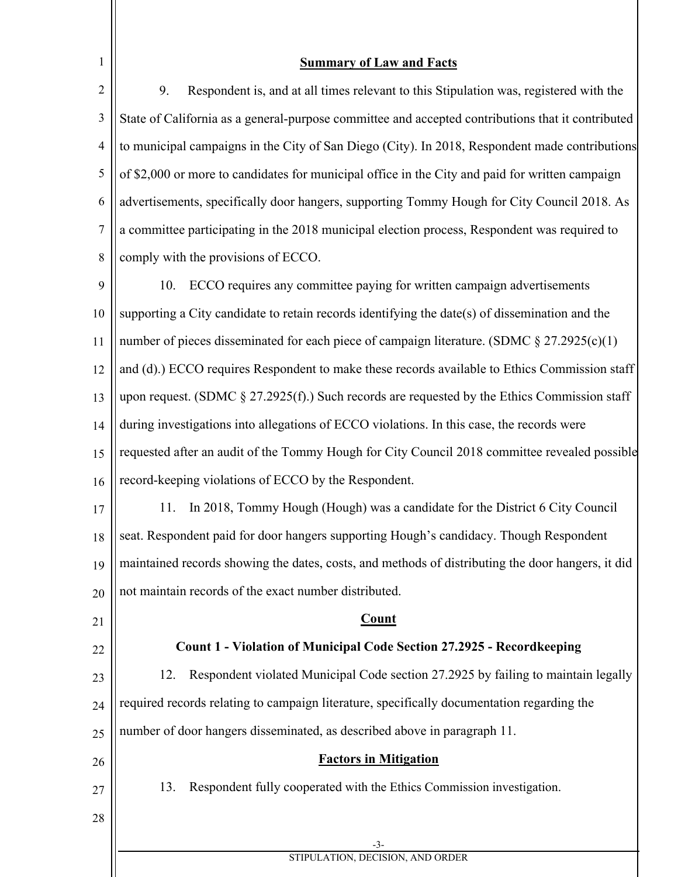| <b>Summary of Law and Facts</b>                                                                        |  |  |
|--------------------------------------------------------------------------------------------------------|--|--|
| 9.<br>Respondent is, and at all times relevant to this Stipulation was, registered with the            |  |  |
| State of California as a general-purpose committee and accepted contributions that it contributed      |  |  |
| to municipal campaigns in the City of San Diego (City). In 2018, Respondent made contributions         |  |  |
| of \$2,000 or more to candidates for municipal office in the City and paid for written campaign        |  |  |
| advertisements, specifically door hangers, supporting Tommy Hough for City Council 2018. As            |  |  |
| a committee participating in the 2018 municipal election process, Respondent was required to           |  |  |
| comply with the provisions of ECCO.                                                                    |  |  |
| ECCO requires any committee paying for written campaign advertisements<br>10.                          |  |  |
| supporting a City candidate to retain records identifying the date(s) of dissemination and the         |  |  |
| number of pieces disseminated for each piece of campaign literature. (SDMC $\S 27.2925(c)(1)$<br>11    |  |  |
| and (d).) ECCO requires Respondent to make these records available to Ethics Commission staff          |  |  |
| upon request. (SDMC $\S 27.2925(f)$ .) Such records are requested by the Ethics Commission staff<br>13 |  |  |
| during investigations into allegations of ECCO violations. In this case, the records were<br>14        |  |  |
| requested after an audit of the Tommy Hough for City Council 2018 committee revealed possible<br>15    |  |  |
| record-keeping violations of ECCO by the Respondent.<br>16                                             |  |  |
| In 2018, Tommy Hough (Hough) was a candidate for the District 6 City Council<br>11.                    |  |  |
| seat. Respondent paid for door hangers supporting Hough's candidacy. Though Respondent<br>18           |  |  |
| maintained records showing the dates, costs, and methods of distributing the door hangers, it did      |  |  |
| not maintain records of the exact number distributed.                                                  |  |  |
| <b>Count</b>                                                                                           |  |  |
| Count 1 - Violation of Municipal Code Section 27.2925 - Recordkeeping                                  |  |  |
| Respondent violated Municipal Code section 27.2925 by failing to maintain legally<br>12.               |  |  |
| required records relating to campaign literature, specifically documentation regarding the             |  |  |
| number of door hangers disseminated, as described above in paragraph 11.                               |  |  |
| <b>Factors in Mitigation</b>                                                                           |  |  |
| 13.<br>Respondent fully cooperated with the Ethics Commission investigation.                           |  |  |
|                                                                                                        |  |  |
| -3-<br>STIPULATION, DECISION, AND ORDER                                                                |  |  |
|                                                                                                        |  |  |